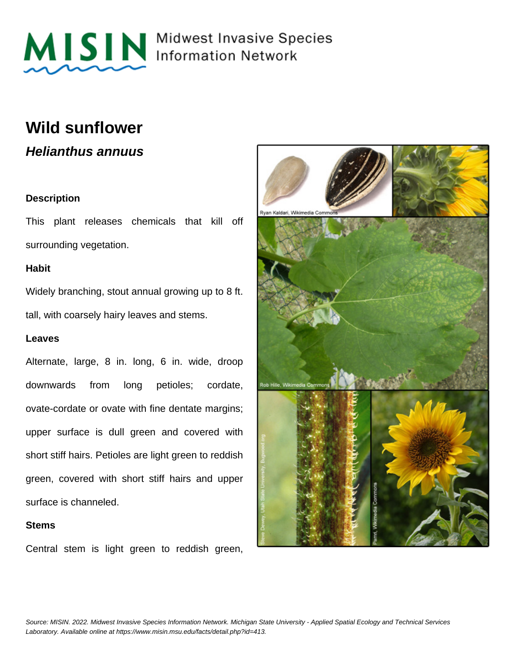

MISIN Midwest Invasive Species

### **Wild sunflower**

**Helianthus annuus**

#### **Description**

This plant releases chemicals that kill off surrounding vegetation.

#### **Habit**

Widely branching, stout annual growing up to 8 ft. tall, with coarsely hairy leaves and stems.

#### **Leaves**

Alternate, large, 8 in. long, 6 in. wide, droop downwards from long petioles; cordate, ovate-cordate or ovate with fine dentate margins; upper surface is dull green and covered with short stiff hairs. Petioles are light green to reddish green, covered with short stiff hairs and upper surface is channeled.

#### **Stems**

Central stem is light green to reddish green,

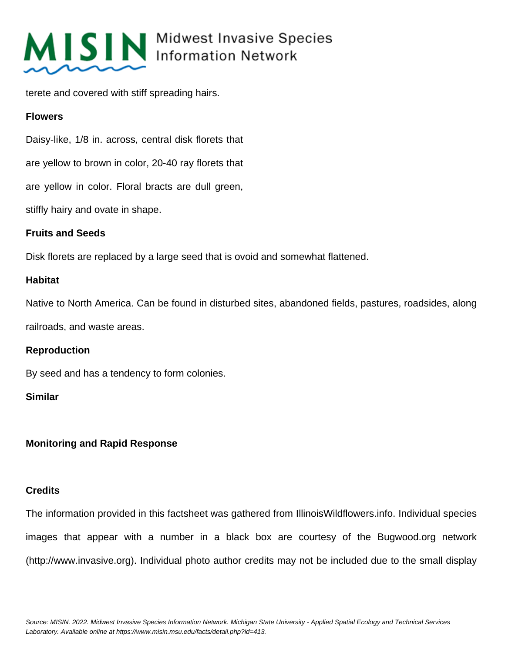

## MISIN Midwest Invasive Species

terete and covered with stiff spreading hairs.

#### **Flowers**

Daisy-like, 1/8 in. across, central disk florets that

are yellow to brown in color, 20-40 ray florets that

are yellow in color. Floral bracts are dull green,

stiffly hairy and ovate in shape.

#### **Fruits and Seeds**

Disk florets are replaced by a large seed that is ovoid and somewhat flattened.

#### **Habitat**

Native to North America. Can be found in disturbed sites, abandoned fields, pastures, roadsides, along

railroads, and waste areas.

#### **Reproduction**

By seed and has a tendency to form colonies.

#### **Similar**

### **Monitoring and Rapid Response**

#### **Credits**

The information provided in this factsheet was gathered from IllinoisWildflowers.info. Individual species images that appear with a number in a black box are courtesy of the Bugwood.org network (http://www.invasive.org). Individual photo author credits may not be included due to the small display